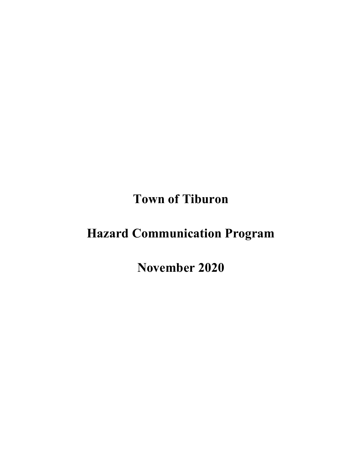**Town of Tiburon**

# **Hazard Communication Program**

**November 2020**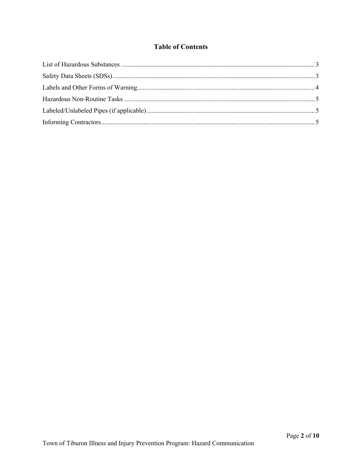## **Table of Contents**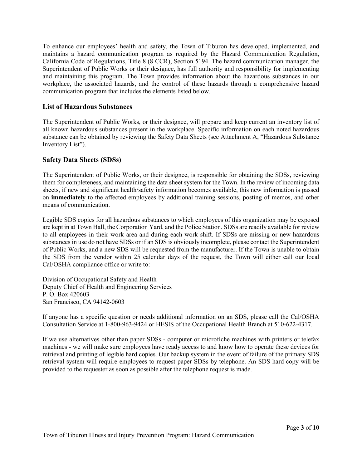To enhance our employees' health and safety, the Town of Tiburon has developed, implemented, and maintains a hazard communication program as required by the Hazard Communication Regulation, California Code of Regulations, Title 8 (8 CCR), Section 5194. The hazard communication manager, the Superintendent of Public Works or their designee, has full authority and responsibility for implementing and maintaining this program. The Town provides information about the hazardous substances in our workplace, the associated hazards, and the control of these hazards through a comprehensive hazard communication program that includes the elements listed below.

## <span id="page-2-0"></span>**List of Hazardous Substances**

The Superintendent of Public Works, or their designee, will prepare and keep current an inventory list of all known hazardous substances present in the workplace. Specific information on each noted hazardous substance can be obtained by reviewing the Safety Data Sheets (see Attachment A, "Hazardous Substance Inventory List").

## <span id="page-2-1"></span>**Safety Data Sheets (SDSs)**

The Superintendent of Public Works, or their designee, is responsible for obtaining the SDSs, reviewing them for completeness, and maintaining the data sheet system for the Town. In the review of incoming data sheets, if new and significant health/safety information becomes available, this new information is passed on **immediately** to the affected employees by additional training sessions, posting of memos, and other means of communication.

Legible SDS copies for all hazardous substances to which employees of this organization may be exposed are kept in at Town Hall, the Corporation Yard, and the Police Station. SDSs are readily available for review to all employees in their work area and during each work shift. If SDSs are missing or new hazardous substances in use do not have SDSs or if an SDS is obviously incomplete, please contact the Superintendent of Public Works, and a new SDS will be requested from the manufacturer. If the Town is unable to obtain the SDS from the vendor within 25 calendar days of the request, the Town will either call our local Cal/OSHA compliance office or write to:

Division of Occupational Safety and Health Deputy Chief of Health and Engineering Services P. O. Box 420603 San Francisco, CA 94142-0603

If anyone has a specific question or needs additional information on an SDS, please call the Cal/OSHA Consultation Service at 1-800-963-9424 or HESIS of the Occupational Health Branch at 510-622-4317.

If we use alternatives other than paper SDSs - computer or microfiche machines with printers or telefax machines - we will make sure employees have ready access to and know how to operate these devices for retrieval and printing of legible hard copies. Our backup system in the event of failure of the primary SDS retrieval system will require employees to request paper SDSs by telephone. An SDS hard copy will be provided to the requester as soon as possible after the telephone request is made.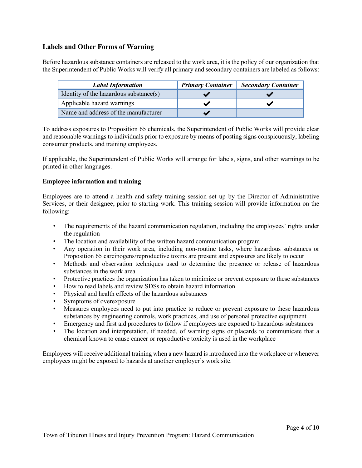## <span id="page-3-0"></span>**Labels and Other Forms of Warning**

Before hazardous substance containers are released to the work area, it is the policy of our organization that the Superintendent of Public Works will verify all primary and secondary containers are labeled as follows:

| <b>Label Information</b>               | <b>Primary Container</b> | <b>Secondary Container</b> |
|----------------------------------------|--------------------------|----------------------------|
| Identity of the hazardous substance(s) |                          |                            |
| Applicable hazard warnings             |                          |                            |
| Name and address of the manufacturer   |                          |                            |

To address exposures to Proposition 65 chemicals, the Superintendent of Public Works will provide clear and reasonable warnings to individuals prior to exposure by means of posting signs conspicuously, labeling consumer products, and training employees.

If applicable, the Superintendent of Public Works will arrange for labels, signs, and other warnings to be printed in other languages.

#### **Employee information and training**

Employees are to attend a health and safety training session set up by the Director of Administrative Services, or their designee, prior to starting work. This training session will provide information on the following:

- The requirements of the hazard communication regulation, including the employees' rights under the regulation
- The location and availability of the written hazard communication program
- Any operation in their work area, including non-routine tasks, where hazardous substances or Proposition 65 carcinogens/reproductive toxins are present and exposures are likely to occur
- Methods and observation techniques used to determine the presence or release of hazardous substances in the work area
- Protective practices the organization has taken to minimize or prevent exposure to these substances
- How to read labels and review SDSs to obtain hazard information
- Physical and health effects of the hazardous substances
- Symptoms of overexposure
- Measures employees need to put into practice to reduce or prevent exposure to these hazardous substances by engineering controls, work practices, and use of personal protective equipment
- Emergency and first aid procedures to follow if employees are exposed to hazardous substances
- The location and interpretation, if needed, of warning signs or placards to communicate that a chemical known to cause cancer or reproductive toxicity is used in the workplace

Employees will receive additional training when a new hazard is introduced into the workplace or whenever employees might be exposed to hazards at another employer's work site.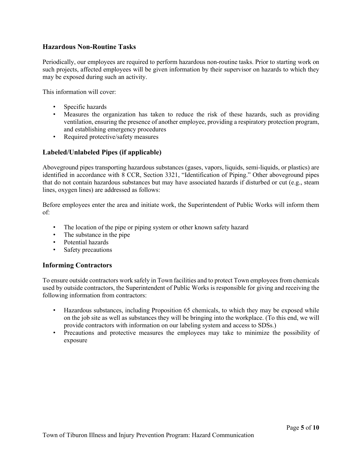## <span id="page-4-0"></span>**Hazardous Non-Routine Tasks**

Periodically, our employees are required to perform hazardous non-routine tasks. Prior to starting work on such projects, affected employees will be given information by their supervisor on hazards to which they may be exposed during such an activity.

This information will cover:

- Specific hazards
- Measures the organization has taken to reduce the risk of these hazards, such as providing ventilation, ensuring the presence of another employee, providing a respiratory protection program, and establishing emergency procedures
- Required protective/safety measures

## <span id="page-4-1"></span>**Labeled/Unlabeled Pipes (if applicable)**

Aboveground pipes transporting hazardous substances (gases, vapors, liquids, semi-liquids, or plastics) are identified in accordance with 8 CCR, Section 3321, "Identification of Piping." Other aboveground pipes that do not contain hazardous substances but may have associated hazards if disturbed or cut (e.g., steam lines, oxygen lines) are addressed as follows:

Before employees enter the area and initiate work, the Superintendent of Public Works will inform them of:

- The location of the pipe or piping system or other known safety hazard
- The substance in the pipe
- Potential hazards
- Safety precautions

## <span id="page-4-2"></span>**Informing Contractors**

To ensure outside contractors work safely in Town facilities and to protect Town employees from chemicals used by outside contractors, the Superintendent of Public Works is responsible for giving and receiving the following information from contractors:

- Hazardous substances, including Proposition 65 chemicals, to which they may be exposed while on the job site as well as substances they will be bringing into the workplace. (To this end, we will provide contractors with information on our labeling system and access to SDSs.)
- Precautions and protective measures the employees may take to minimize the possibility of exposure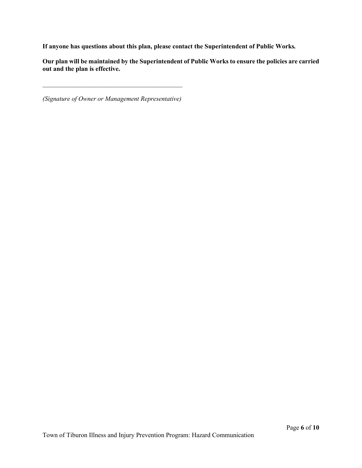**If anyone has questions about this plan, please contact the Superintendent of Public Works***.* 

**Our plan will be maintained by the Superintendent of Public Works to ensure the policies are carried out and the plan is effective.**

*(Signature of Owner or Management Representative)*

 $\mathcal{L}_\text{max}$  , and the contract of the contract of the contract of the contract of the contract of the contract of the contract of the contract of the contract of the contract of the contract of the contract of the contr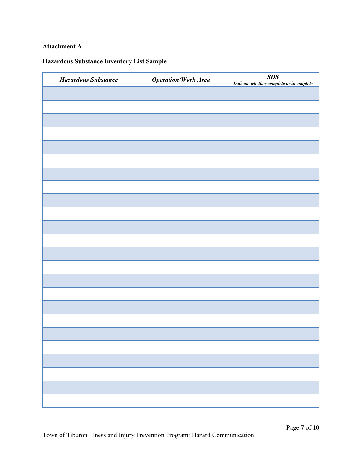## **Attachment A**

## **Hazardous Substance Inventory List Sample**

| <b>Hazardous Substance</b> | <b>Operation/Work Area</b> | SDS<br>Indicate whether complete or incomplete |
|----------------------------|----------------------------|------------------------------------------------|
|                            |                            |                                                |
|                            |                            |                                                |
|                            |                            |                                                |
|                            |                            |                                                |
|                            |                            |                                                |
|                            |                            |                                                |
|                            |                            |                                                |
|                            |                            |                                                |
|                            |                            |                                                |
|                            |                            |                                                |
|                            |                            |                                                |
|                            |                            |                                                |
|                            |                            |                                                |
|                            |                            |                                                |
|                            |                            |                                                |
|                            |                            |                                                |
|                            |                            |                                                |
|                            |                            |                                                |
|                            |                            |                                                |
|                            |                            |                                                |
|                            |                            |                                                |
|                            |                            |                                                |
|                            |                            |                                                |
|                            |                            |                                                |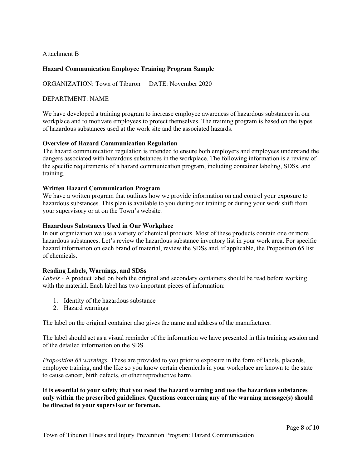Attachment B

## **Hazard Communication Employee Training Program Sample**

ORGANIZATION: Town of Tiburon DATE: November 2020

### DEPARTMENT: NAME

We have developed a training program to increase employee awareness of hazardous substances in our workplace and to motivate employees to protect themselves. The training program is based on the types of hazardous substances used at the work site and the associated hazards.

#### **Overview of Hazard Communication Regulation**

The hazard communication regulation is intended to ensure both employers and employees understand the dangers associated with hazardous substances in the workplace. The following information is a review of the specific requirements of a hazard communication program, including container labeling, SDSs, and training.

#### **Written Hazard Communication Program**

We have a written program that outlines how we provide information on and control your exposure to hazardous substances. This plan is available to you during our training or during your work shift from your supervisory or at on the Town's website*.*

#### **Hazardous Substances Used in Our Workplace**

In our organization we use a variety of chemical products. Most of these products contain one or more hazardous substances. Let's review the hazardous substance inventory list in your work area. For specific hazard information on each brand of material, review the SDSs and, if applicable, the Proposition 65 list of chemicals.

#### **Reading Labels, Warnings, and SDSs**

*Labels -* A product label on both the original and secondary containers should be read before working with the material. Each label has two important pieces of information:

- 1. Identity of the hazardous substance
- 2. Hazard warnings

The label on the original container also gives the name and address of the manufacturer.

The label should act as a visual reminder of the information we have presented in this training session and of the detailed information on the SDS.

*Proposition 65 warnings.* These are provided to you prior to exposure in the form of labels, placards, employee training, and the like so you know certain chemicals in your workplace are known to the state to cause cancer, birth defects, or other reproductive harm.

**It is essential to your safety that you read the hazard warning and use the hazardous substances only within the prescribed guidelines. Questions concerning any of the warning message(s) should be directed to your supervisor or foreman.**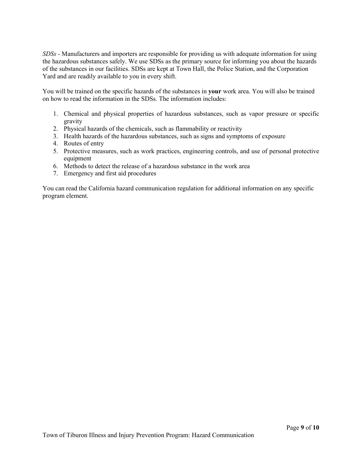*SDSs -* Manufacturers and importers are responsible for providing us with adequate information for using the hazardous substances safely. We use SDSs as the primary source for informing you about the hazards of the substances in our facilities. SDSs are kept at Town Hall, the Police Station, and the Corporation Yard and are readily available to you in every shift.

You will be trained on the specific hazards of the substances in **your** work area. You will also be trained on how to read the information in the SDSs. The information includes:

- 1. Chemical and physical properties of hazardous substances, such as vapor pressure or specific gravity
- 2. Physical hazards of the chemicals, such as flammability or reactivity
- 3. Health hazards of the hazardous substances, such as signs and symptoms of exposure
- 4. Routes of entry
- 5. Protective measures, such as work practices, engineering controls, and use of personal protective equipment
- 6. Methods to detect the release of a hazardous substance in the work area
- 7. Emergency and first aid procedures

You can read the California hazard communication regulation for additional information on any specific program element.